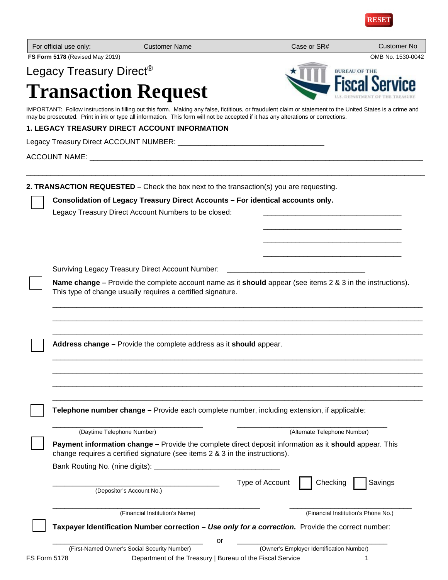

| For official use only:              | <b>Customer Name</b>                                                                                                                                                                                                                                                                             | Case or SR#                              | <b>Customer No</b>                  |
|-------------------------------------|--------------------------------------------------------------------------------------------------------------------------------------------------------------------------------------------------------------------------------------------------------------------------------------------------|------------------------------------------|-------------------------------------|
| FS Form 5178 (Revised May 2019)     |                                                                                                                                                                                                                                                                                                  |                                          | OMB No. 1530-0042                   |
| Legacy Treasury Direct <sup>®</sup> |                                                                                                                                                                                                                                                                                                  |                                          | <b>BUREAU OF THE</b>                |
|                                     | <b>Transaction Request</b>                                                                                                                                                                                                                                                                       |                                          |                                     |
|                                     | IMPORTANT: Follow instructions in filling out this form. Making any false, fictitious, or fraudulent claim or statement to the United States is a crime and<br>may be prosecuted. Print in ink or type all information. This form will not be accepted if it has any alterations or corrections. |                                          |                                     |
|                                     | <b>1. LEGACY TREASURY DIRECT ACCOUNT INFORMATION</b>                                                                                                                                                                                                                                             |                                          |                                     |
|                                     |                                                                                                                                                                                                                                                                                                  |                                          |                                     |
|                                     |                                                                                                                                                                                                                                                                                                  |                                          |                                     |
|                                     | 2. TRANSACTION REQUESTED - Check the box next to the transaction(s) you are requesting.                                                                                                                                                                                                          |                                          |                                     |
|                                     | Consolidation of Legacy Treasury Direct Accounts - For identical accounts only.                                                                                                                                                                                                                  |                                          |                                     |
|                                     | Legacy Treasury Direct Account Numbers to be closed:                                                                                                                                                                                                                                             |                                          |                                     |
|                                     |                                                                                                                                                                                                                                                                                                  |                                          |                                     |
|                                     |                                                                                                                                                                                                                                                                                                  |                                          |                                     |
|                                     |                                                                                                                                                                                                                                                                                                  |                                          |                                     |
|                                     | <b>Surviving Legacy Treasury Direct Account Number:</b>                                                                                                                                                                                                                                          |                                          |                                     |
|                                     | Name change – Provide the complete account name as it should appear (see items 2 & 3 in the instructions).<br>This type of change usually requires a certified signature.                                                                                                                        |                                          |                                     |
|                                     |                                                                                                                                                                                                                                                                                                  |                                          |                                     |
|                                     |                                                                                                                                                                                                                                                                                                  |                                          |                                     |
|                                     |                                                                                                                                                                                                                                                                                                  |                                          |                                     |
|                                     | Address change – Provide the complete address as it should appear.                                                                                                                                                                                                                               |                                          |                                     |
|                                     |                                                                                                                                                                                                                                                                                                  |                                          |                                     |
|                                     |                                                                                                                                                                                                                                                                                                  |                                          |                                     |
|                                     |                                                                                                                                                                                                                                                                                                  |                                          |                                     |
|                                     | Telephone number change - Provide each complete number, including extension, if applicable:                                                                                                                                                                                                      |                                          |                                     |
|                                     | (Daytime Telephone Number)                                                                                                                                                                                                                                                                       | (Alternate Telephone Number)             |                                     |
|                                     | Payment information change - Provide the complete direct deposit information as it should appear. This<br>change requires a certified signature (see items 2 & 3 in the instructions).                                                                                                           |                                          |                                     |
|                                     |                                                                                                                                                                                                                                                                                                  |                                          |                                     |
|                                     |                                                                                                                                                                                                                                                                                                  | Type of Account<br>Checking              | Savings                             |
|                                     | (Depositor's Account No.)                                                                                                                                                                                                                                                                        |                                          |                                     |
|                                     | (Financial Institution's Name)                                                                                                                                                                                                                                                                   |                                          | (Financial Institution's Phone No.) |
|                                     | Taxpayer Identification Number correction - Use only for a correction. Provide the correct number:                                                                                                                                                                                               |                                          |                                     |
|                                     | or<br>(First-Named Owner's Social Security Number)                                                                                                                                                                                                                                               | (Owner's Employer Identification Number) |                                     |
| <b>FS Form 5178</b>                 | Department of the Treasury   Bureau of the Fiscal Service                                                                                                                                                                                                                                        |                                          | 1                                   |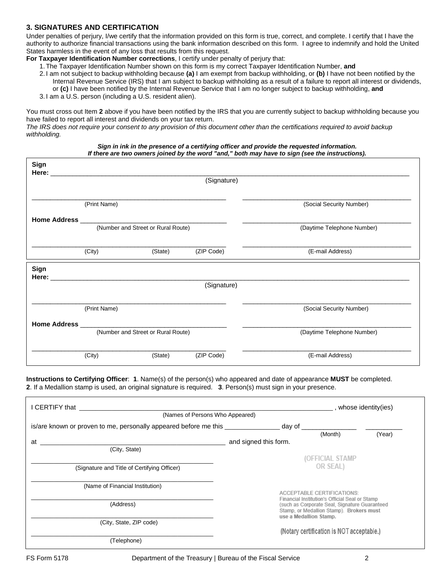# **3. SIGNATURES AND CERTIFICATION**

Under penalties of perjury, I/we certify that the information provided on this form is true, correct, and complete. I certify that I have the authority to authorize financial transactions using the bank information described on this form. I agree to indemnify and hold the United States harmless in the event of any loss that results from this request.

**For Taxpayer Identification Number corrections**, I certify under penalty of perjury that:

1.The Taxpayer Identification Number shown on this form is my correct Taxpayer Identification Number, **and**

- 2. I am not subject to backup withholding because **(a)** I am exempt from backup withholding, or **(b)** I have not been notified by the Internal Revenue Service (IRS) that I am subject to backup withholding as a result of a failure to report all interest or dividends, or **(c)** I have been notified by the Internal Revenue Service that I am no longer subject to backup withholding, **and**
- 3. I am a U.S. person (including a U.S. resident alien).

You must cross out Item **2** above if you have been notified by the IRS that you are currently subject to backup withholding because you have failed to report all interest and dividends on your tax return.

*The IRS does not require your consent to any provision of this document other than the certifications required to avoid backup withholding.*

#### *Sign in ink in the presence of a certifying officer and provide the requested information. If there are two owners joined by the word "and," both may have to sign (see the instructions).*

|      |              |                                                                                                                                                                                                                                | (Signature)                |                            |
|------|--------------|--------------------------------------------------------------------------------------------------------------------------------------------------------------------------------------------------------------------------------|----------------------------|----------------------------|
|      | (Print Name) |                                                                                                                                                                                                                                |                            | (Social Security Number)   |
|      |              |                                                                                                                                                                                                                                | (Daytime Telephone Number) |                            |
|      | (City)       | (State)                                                                                                                                                                                                                        | (ZIP Code)                 | (E-mail Address)           |
| Sign |              | Here: The contract of the contract of the contract of the contract of the contract of the contract of the contract of the contract of the contract of the contract of the contract of the contract of the contract of the cont |                            |                            |
|      |              |                                                                                                                                                                                                                                | (Signature)                |                            |
|      | (Print Name) |                                                                                                                                                                                                                                |                            | (Social Security Number)   |
|      |              | (Number and Street or Rural Route)                                                                                                                                                                                             |                            | (Daytime Telephone Number) |
|      | (City)       | (State)                                                                                                                                                                                                                        | (ZIP Code)                 | (E-mail Address)           |

**Instructions to Certifying Officer**: **1**. Name(s) of the person(s) who appeared and date of appearance **MUST** be completed. **2**. If a Medallion stamp is used, an original signature is required. **3**. Person(s) must sign in your presence.

| I CERTIFY that the control of the control of the control of the control of the control of the control of the c |                                                                                                 |  | s whose identity (ies)                    |        |
|----------------------------------------------------------------------------------------------------------------|-------------------------------------------------------------------------------------------------|--|-------------------------------------------|--------|
| (Names of Persons Who Appeared)                                                                                |                                                                                                 |  |                                           |        |
| is/are known or proven to me, personally appeared before me this ________________ day of _____________________ |                                                                                                 |  |                                           |        |
|                                                                                                                |                                                                                                 |  | (Month)                                   | (Year) |
| at                                                                                                             | and signed this form.                                                                           |  |                                           |        |
| (City, State)                                                                                                  |                                                                                                 |  |                                           |        |
|                                                                                                                | (OFFICIAL STAMP<br>OR SEAL)                                                                     |  |                                           |        |
| (Signature and Title of Certifying Officer)                                                                    |                                                                                                 |  |                                           |        |
| (Name of Financial Institution)                                                                                |                                                                                                 |  | ACCEPTABLE CERTIFICATIONS:                |        |
| (Address)                                                                                                      | Financial Institution's Official Seal or Stamp<br>(such as Corporate Seal, Signature Guaranteed |  |                                           |        |
|                                                                                                                |                                                                                                 |  | Stamp, or Medallion Stamp). Brokers must  |        |
| (City, State, ZIP code)                                                                                        | use a Medallion Stamp.                                                                          |  |                                           |        |
|                                                                                                                |                                                                                                 |  | (Notary certification is NOT acceptable.) |        |
| (Telephone)                                                                                                    |                                                                                                 |  |                                           |        |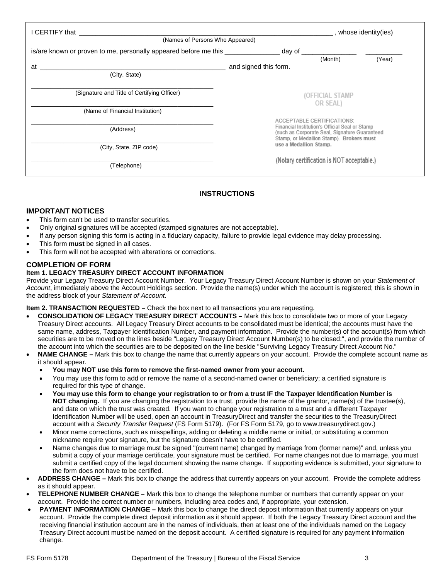| I CERTIFY that <b>Example 2</b>                                                  |                                                                                                                                                                                                                                                                                 |        | ____, whose identity(ies) |        |  |  |
|----------------------------------------------------------------------------------|---------------------------------------------------------------------------------------------------------------------------------------------------------------------------------------------------------------------------------------------------------------------------------|--------|---------------------------|--------|--|--|
| (Names of Persons Who Appeared)                                                  |                                                                                                                                                                                                                                                                                 |        |                           |        |  |  |
| is/are known or proven to me, personally appeared before me this _______________ |                                                                                                                                                                                                                                                                                 | day of |                           |        |  |  |
|                                                                                  |                                                                                                                                                                                                                                                                                 |        | (Month)                   | (Year) |  |  |
| at                                                                               | and signed this form.                                                                                                                                                                                                                                                           |        |                           |        |  |  |
| (City, State)                                                                    |                                                                                                                                                                                                                                                                                 |        |                           |        |  |  |
| (Signature and Title of Certifying Officer)                                      | (OFFICIAL STAMP<br>OR SEAL)<br>ACCEPTABLE CERTIFICATIONS:<br>Financial Institution's Official Seal or Stamp<br>(such as Corporate Seal, Signature Guaranteed<br>Stamp, or Medallion Stamp). Brokers must<br>use a Medallion Stamp.<br>(Notary certification is NOT acceptable.) |        |                           |        |  |  |
| (Name of Financial Institution)                                                  |                                                                                                                                                                                                                                                                                 |        |                           |        |  |  |
| (Address)<br>(City, State, ZIP code)                                             |                                                                                                                                                                                                                                                                                 |        |                           |        |  |  |
| (Telephone)                                                                      |                                                                                                                                                                                                                                                                                 |        |                           |        |  |  |

# **INSTRUCTIONS**

# **IMPORTANT NOTICES**

- This form can't be used to transfer securities.
- Only original signatures will be accepted (stamped signatures are not acceptable).
- If any person signing this form is acting in a fiduciary capacity, failure to provide legal evidence may delay processing.
- This form **must** be signed in all cases.
- This form will not be accepted with alterations or corrections.

### **COMPLETION OF FORM**

#### **Item 1. LEGACY TREASURY DIRECT ACCOUNT INFORMATION**

Provide your Legacy Treasury Direct Account Number. Your Legacy Treasury Direct Account Number is shown on your *Statement of Account*, immediately above the Account Holdings section. Provide the name(s) under which the account is registered; this is shown in the address block of your *Statement of Account*.

#### **Item 2. TRANSACTION REQUESTED –** Check the box next to all transactions you are requesting.

- **CONSOLIDATION OF LEGACY TREASURY DIRECT ACCOUNTS –** Mark this box to consolidate two or more of your Legacy Treasury Direct accounts. All Legacy Treasury Direct accounts to be consolidated must be identical; the accounts must have the same name, address, Taxpayer Identification Number, and payment information. Provide the number(s) of the account(s) from which securities are to be moved on the lines beside "Legacy Treasury Direct Account Number(s) to be closed:", and provide the number of the account into which the securities are to be deposited on the line beside "Surviving Legacy Treasury Direct Account No."
- **NAME CHANGE –** Mark this box to change the name that currently appears on your account. Provide the complete account name as it should appear.
	- **You may NOT use this form to remove the first-named owner from your account.**
	- You may use this form to add or remove the name of a second-named owner or beneficiary; a certified signature is required for this type of change.
	- **You may use this form to change your registration to or from a trust IF the Taxpayer Identification Number is NOT changing.** If you are changing the registration to a trust, provide the name of the grantor, name(s) of the trustee(s), and date on which the trust was created. If you want to change your registration to a trust and a different Taxpayer Identification Number will be used, open an account in TreasuryDirect and transfer the securities to the TreasuryDirect account with a *Security Transfer Request* (FS Form 5179). (For FS Form 5179, go to www.treasurydirect.gov.)
	- Minor name corrections, such as misspellings, adding or deleting a middle name or initial, or substituting a common nickname require your signature, but the signature doesn't have to be certified.
	- Name changes due to marriage must be signed "(current name) changed by marriage from (former name)" and, unless you submit a copy of your marriage certificate, your signature must be certified. For name changes not due to marriage, you must submit a certified copy of the legal document showing the name change. If supporting evidence is submitted, your signature to the form does not have to be certified.
- **ADDRESS CHANGE –** Mark this box to change the address that currently appears on your account. Provide the complete address as it should appear.
- **TELEPHONE NUMBER CHANGE –** Mark this box to change the telephone number or numbers that currently appear on your account. Provide the correct number or numbers, including area codes and, if appropriate, your extension.
- **PAYMENT INFORMATION CHANGE –** Mark this box to change the direct deposit information that currently appears on your account. Provide the complete direct deposit information as it should appear. If both the Legacy Treasury Direct account and the receiving financial institution account are in the names of individuals, then at least one of the individuals named on the Legacy Treasury Direct account must be named on the deposit account. A certified signature is required for any payment information change.